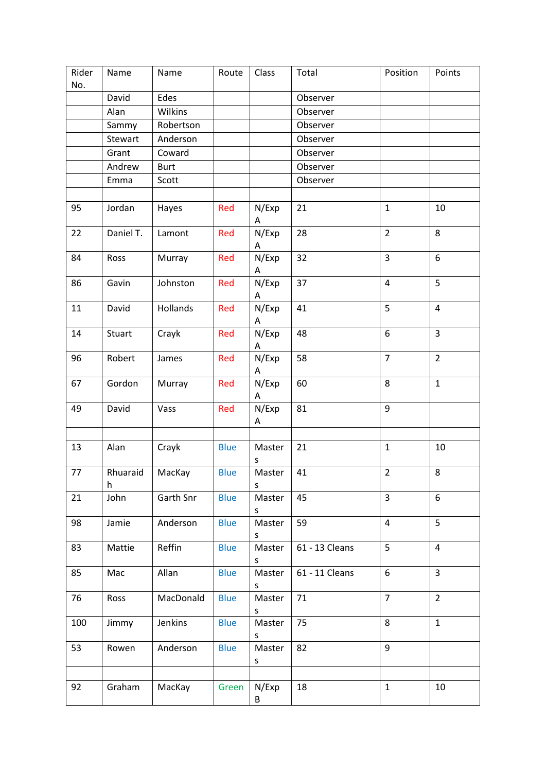| Rider<br>No. | Name          | Name        | Route       | Class       | Total          | Position       | Points         |
|--------------|---------------|-------------|-------------|-------------|----------------|----------------|----------------|
|              | David         | Edes        |             |             | Observer       |                |                |
|              | Alan          | Wilkins     |             |             | Observer       |                |                |
|              | Sammy         | Robertson   |             |             | Observer       |                |                |
|              | Stewart       | Anderson    |             |             | Observer       |                |                |
|              | Grant         | Coward      |             |             | Observer       |                |                |
|              | Andrew        | <b>Burt</b> |             |             | Observer       |                |                |
|              | Emma          | Scott       |             |             | Observer       |                |                |
|              |               |             |             |             |                |                |                |
| 95           | Jordan        | Hayes       | Red         | N/Exp<br>А  | 21             | $\mathbf{1}$   | 10             |
| 22           | Daniel T.     | Lamont      | Red         | N/Exp<br>Α  | 28             | $\overline{2}$ | 8              |
| 84           | Ross          | Murray      | Red         | N/Exp<br>Α  | 32             | $\overline{3}$ | 6              |
| 86           | Gavin         | Johnston    | Red         | N/Exp<br>Α  | 37             | $\pmb{4}$      | 5              |
| 11           | David         | Hollands    | Red         | N/Exp<br>Α  | 41             | $\overline{5}$ | $\overline{4}$ |
| 14           | Stuart        | Crayk       | Red         | N/Exp<br>Α  | 48             | 6              | $\overline{3}$ |
| 96           | Robert        | James       | Red         | N/Exp<br>Α  | 58             | $\overline{7}$ | $\overline{2}$ |
| 67           | Gordon        | Murray      | Red         | N/Exp<br>Α  | 60             | 8              | $\mathbf{1}$   |
| 49           | David         | Vass        | Red         | N/Exp<br>A  | 81             | 9              |                |
|              |               |             |             |             |                |                |                |
| 13           | Alan          | Crayk       | <b>Blue</b> | Master<br>S | 21             | $\mathbf{1}$   | 10             |
| 77           | Rhuaraid<br>h | MacKay      | <b>Blue</b> | Master<br>s | 41             | $\overline{2}$ | 8              |
| 21           | John          | Garth Snr   | <b>Blue</b> | Master<br>S | 45             | 3              | 6              |
| 98           | Jamie         | Anderson    | <b>Blue</b> | Master<br>S | 59             | $\overline{4}$ | 5              |
| 83           | Mattie        | Reffin      | <b>Blue</b> | Master<br>S | 61 - 13 Cleans | 5              | $\overline{4}$ |
| 85           | Mac           | Allan       | <b>Blue</b> | Master<br>S | 61 - 11 Cleans | 6              | $\overline{3}$ |
| 76           | Ross          | MacDonald   | <b>Blue</b> | Master<br>S | 71             | $\overline{7}$ | $\overline{2}$ |
| 100          | Jimmy         | Jenkins     | <b>Blue</b> | Master<br>S | 75             | 8              | $\mathbf{1}$   |
| 53           | Rowen         | Anderson    | <b>Blue</b> | Master<br>s | 82             | 9              |                |
|              |               |             |             |             |                |                |                |
| 92           | Graham        | MacKay      | Green       | N/Exp<br>B  | 18             | $\mathbf{1}$   | 10             |